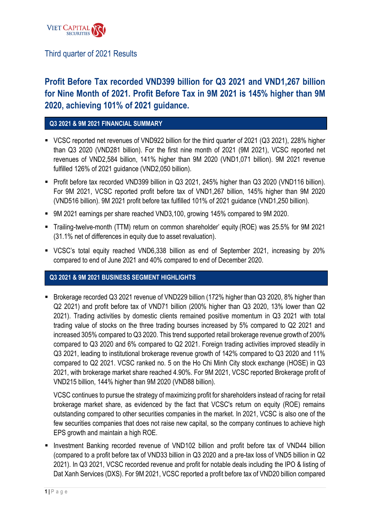

Third quarter of 2021 Results

# **Profit Before Tax recorded VND399 billion for Q3 2021 and VND1,267 billion for Nine Month of 2021. Profit Before Tax in 9M 2021 is 145% higher than 9M 2020, achieving 101% of 2021 guidance.**

## **Q3 2021 & 9M 2021 FINANCIAL SUMMARY**

- VCSC reported net revenues of VND922 billion for the third quarter of 2021 (Q3 2021), 228% higher than Q3 2020 (VND281 billion). For the first nine month of 2021 (9M 2021), VCSC reported net revenues of VND2,584 billion, 141% higher than 9M 2020 (VND1,071 billion). 9M 2021 revenue fulfilled 126% of 2021 guidance (VND2,050 billion).
- Profit before tax recorded VND399 billion in Q3 2021, 245% higher than Q3 2020 (VND116 billion). For 9M 2021, VCSC reported profit before tax of VND1,267 billion, 145% higher than 9M 2020 (VND516 billion). 9M 2021 profit before tax fulfilled 101% of 2021 guidance (VND1,250 billion).
- 9M 2021 earnings per share reached VND3,100, growing 145% compared to 9M 2020.
- Trailing-twelve-month (TTM) return on common shareholder' equity (ROE) was 25.5% for 9M 2021 (31.1% net of differences in equity due to asset revaluation).
- VCSC's total equity reached VND6,338 billion as end of September 2021, increasing by 20% compared to end of June 2021 and 40% compared to end of December 2020.

#### **Q3 2021 & 9M 2021 BUSINESS SEGMENT HIGHLIGHTS**

■ Brokerage recorded Q3 2021 revenue of VND229 billion (172% higher than Q3 2020, 8% higher than Q2 2021) and profit before tax of VND71 billion (200% higher than Q3 2020, 13% lower than Q2 2021). Trading activities by domestic clients remained positive momentum in Q3 2021 with total trading value of stocks on the three trading bourses increased by 5% compared to Q2 2021 and increased 305% compared to Q3 2020. This trend supported retail brokerage revenue growth of 200% compared to Q3 2020 and 6% compared to Q2 2021. Foreign trading activities improved steadily in Q3 2021, leading to institutional brokerage revenue growth of 142% compared to Q3 2020 and 11% compared to Q2 2021. VCSC ranked no. 5 on the Ho Chi Minh City stock exchange (HOSE) in Q3 2021, with brokerage market share reached 4.90%. For 9M 2021, VCSC reported Brokerage profit of VND215 billion, 144% higher than 9M 2020 (VND88 billion).

VCSC continues to pursue the strategy of maximizing profit for shareholders instead of racing for retail brokerage market share, as evidenced by the fact that VCSC's return on equity (ROE) remains outstanding compared to other securities companies in the market. In 2021, VCSC is also one of the few securities companies that does not raise new capital, so the company continues to achieve high EPS growth and maintain a high ROE.

▪ Investment Banking recorded revenue of VND102 billion and profit before tax of VND44 billion (compared to a profit before tax of VND33 billion in Q3 2020 and a pre-tax loss of VND5 billion in Q2 2021). In Q3 2021, VCSC recorded revenue and profit for notable deals including the IPO & listing of Dat Xanh Services (DXS). For 9M 2021, VCSC reported a profit before tax of VND20 billion compared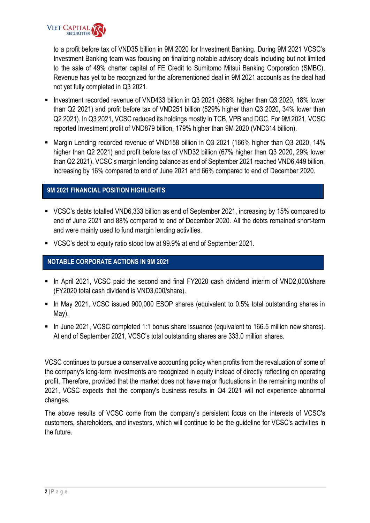

to a profit before tax of VND35 billion in 9M 2020 for Investment Banking. During 9M 2021 VCSC's Investment Banking team was focusing on finalizing notable advisory deals including but not limited to the sale of 49% charter capital of FE Credit to Sumitomo Mitsui Banking Corporation (SMBC). Revenue has yet to be recognized for the aforementioned deal in 9M 2021 accounts as the deal had not yet fully completed in Q3 2021.

- Investment recorded revenue of VND433 billion in Q3 2021 (368% higher than Q3 2020, 18% lower than Q2 2021) and profit before tax of VND251 billion (529% higher than Q3 2020, 34% lower than Q2 2021). In Q3 2021, VCSC reduced its holdings mostly in TCB, VPB and DGC. For 9M 2021, VCSC reported Investment profit of VND879 billion, 179% higher than 9M 2020 (VND314 billion).
- Margin Lending recorded revenue of VND158 billion in Q3 2021 (166% higher than Q3 2020, 14% higher than Q2 2021) and profit before tax of VND32 billion (67% higher than Q3 2020, 29% lower than Q2 2021). VCSC's margin lending balance as end of September 2021 reached VND6,449 billion, increasing by 16% compared to end of June 2021 and 66% compared to end of December 2020.

## **9M 2021 FINANCIAL POSITION HIGHLIGHTS**

- VCSC's debts totalled VND6,333 billion as end of September 2021, increasing by 15% compared to end of June 2021 and 88% compared to end of December 2020. All the debts remained short-term and were mainly used to fund margin lending activities.
- VCSC's debt to equity ratio stood low at 99.9% at end of September 2021.

## **NOTABLE CORPORATE ACTIONS IN 9M 2021**

- In April 2021, VCSC paid the second and final FY2020 cash dividend interim of VND2,000/share (FY2020 total cash dividend is VND3,000/share).
- In May 2021, VCSC issued 900,000 ESOP shares (equivalent to 0.5% total outstanding shares in May).
- In June 2021, VCSC completed 1:1 bonus share issuance (equivalent to 166.5 million new shares). At end of September 2021, VCSC's total outstanding shares are 333.0 million shares.

VCSC continues to pursue a conservative accounting policy when profits from the revaluation of some of the company's long-term investments are recognized in equity instead of directly reflecting on operating profit. Therefore, provided that the market does not have major fluctuations in the remaining months of 2021, VCSC expects that the company's business results in Q4 2021 will not experience abnormal changes.

The above results of VCSC come from the company's persistent focus on the interests of VCSC's customers, shareholders, and investors, which will continue to be the guideline for VCSC's activities in the future.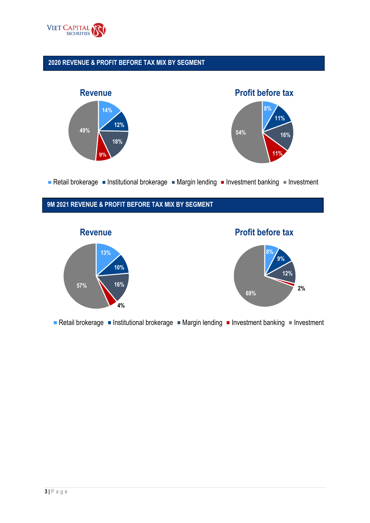

## **2020 REVENUE & PROFIT BEFORE TAX MIX BY SEGMENT**



Retail brokerage Institutional brokerage Interval lending Investment banking Investment

## **9M 2021 REVENUE & PROFIT BEFORE TAX MIX BY SEGMENT**



Retail brokerage  $\blacksquare$  Institutional brokerage  $\blacksquare$  Margin lending  $\blacksquare$  Investment banking  $\blacksquare$  Investment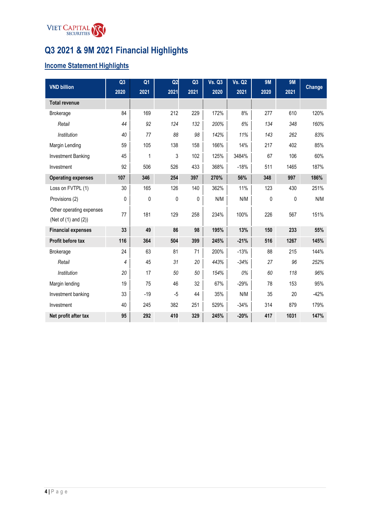

# **Q3 2021 & 9M 2021 Financial Highlights**

# **Income Statement Highlights**

| <b>VND billion</b>        | Q <sub>3</sub> | Q <sub>1</sub> | Q2           | Q <sub>3</sub> | <b>Vs. Q3</b> | <b>Vs. Q2</b> | <b>9M</b> | <b>9M</b> | Change |
|---------------------------|----------------|----------------|--------------|----------------|---------------|---------------|-----------|-----------|--------|
|                           | 2020           | 2021           | 2021         | 2021           | 2020          | 2021          | 2020      | 2021      |        |
| <b>Total revenue</b>      |                |                |              |                |               |               |           |           |        |
| <b>Brokerage</b>          | 84             | 169            | 212          | 229            | 172%          | 8%            | 277       | 610       | 120%   |
| Retail                    | 44             | 92             | 124          | 132            | 200%          | 6%            | 134       | 348       | 160%   |
| <b>Institution</b>        | 40             | 77             | 88           | 98             | 142%          | 11%           | 143       | 262       | 83%    |
| Margin Lending            | 59             | 105            | 138          | 158            | 166%          | 14%           | 217       | 402       | 85%    |
| <b>Investment Banking</b> | 45             | $\mathbf{1}$   | 3            | 102            | 125%          | 3484%         | 67        | 106       | 60%    |
| Investment                | 92             | 506            | 526          | 433            | 368%          | $-18%$        | 511       | 1465      | 187%   |
| <b>Operating expenses</b> | 107            | 346            | 254          | 397            | 270%          | 56%           | 348       | 997       | 186%   |
| Loss on FVTPL (1)         | 30             | 165            | 126          | 140            | 362%          | 11%           | 123       | 430       | 251%   |
| Provisions (2)            | 0              | $\mathbf{0}$   | $\mathbf{0}$ | 0              | N/M           | N/M           | 0         | $\pmb{0}$ | N/M    |
| Other operating expenses  | 77             | 181            | 129          | 258            | 234%          | 100%          | 226       | 567       | 151%   |
| (Net of (1) and (2))      |                |                |              |                |               |               |           |           |        |
| <b>Financial expenses</b> | 33             | 49             | 86           | 98             | 195%          | 13%           | 150       | 233       | 55%    |
| Profit before tax         | 116            | 364            | 504          | 399            | 245%          | $-21%$        | 516       | 1267      | 145%   |
| <b>Brokerage</b>          | 24             | 63             | 81           | 71             | 200%          | $-13%$        | 88        | 215       | 144%   |
| Retail                    | 4              | 45             | 31           | 20             | 443%          | $-34%$        | 27        | 96        | 252%   |
| Institution               | 20             | 17             | 50           | 50             | 154%          | $0\%$         | 60        | 118       | 96%    |
| Margin lending            | 19             | 75             | 46           | 32             | 67%           | $-29%$        | 78        | 153       | 95%    |
| Investment banking        | 33             | $-19$          | $-5$         | 44             | 35%           | N/M           | 35        | 20        | $-42%$ |
| Investment                | 40             | 245            | 382          | 251            | 529%          | $-34%$        | 314       | 879       | 179%   |
| Net profit after tax      | 95             | 292            | 410          | 329            | 245%          | $-20%$        | 417       | 1031      | 147%   |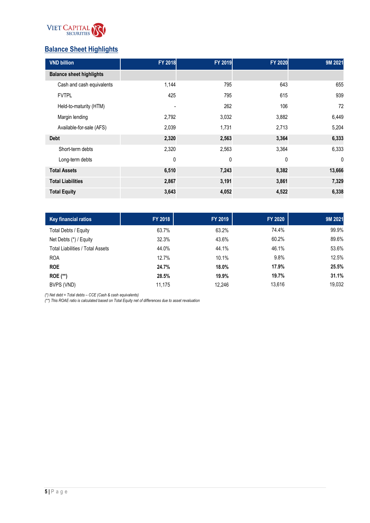

# **Balance Sheet Highlights**

| <b>VND billion</b>              | <b>FY 2018</b> | <b>FY 2019</b> | <b>FY 2020</b> | 9M 2021      |
|---------------------------------|----------------|----------------|----------------|--------------|
| <b>Balance sheet highlights</b> |                |                |                |              |
| Cash and cash equivalents       | 1,144          | 795            | 643            | 655          |
| <b>FVTPL</b>                    | 425            | 795            | 615            | 939          |
| Held-to-maturity (HTM)          | -              | 262            | 106            | 72           |
| Margin lending                  | 2,792          | 3,032          | 3,882          | 6,449        |
| Available-for-sale (AFS)        | 2,039          | 1,731          | 2,713          | 5,204        |
| <b>Debt</b>                     | 2,320          | 2,563          | 3,364          | 6,333        |
| Short-term debts                | 2,320          | 2,563          | 3,364          | 6,333        |
| Long-term debts                 | 0              | 0              | $\mathbf 0$    | $\mathbf{0}$ |
| <b>Total Assets</b>             | 6,510          | 7,243          | 8,382          | 13,666       |
| <b>Total Liabilities</b>        | 2,867          | 3,191          | 3,861          | 7,329        |
| <b>Total Equity</b>             | 3,643          | 4,052          | 4,522          | 6,338        |

| <b>Key financial ratios</b>             | FY 2018 | <b>FY 2019</b> | <b>FY 2020</b> | 9M 2021 |
|-----------------------------------------|---------|----------------|----------------|---------|
| Total Debts / Equity                    | 63.7%   | 63.2%          | 74.4%          | 99.9%   |
| Net Debts (*) / Equity                  | 32.3%   | 43.6%          | 60.2%          | 89.6%   |
| <b>Total Liabilities / Total Assets</b> | 44.0%   | 44.1%          | 46.1%          | 53.6%   |
| <b>ROA</b>                              | 12.7%   | 10.1%          | 9.8%           | 12.5%   |
| <b>ROE</b>                              | 24.7%   | 18.0%          | 17.9%          | 25.5%   |
| <b>ROE</b> (**)                         | 28.5%   | 19.9%          | 19.7%          | 31.1%   |
| BVPS (VND)                              | 11.175  | 12,246         | 13,616         | 19.032  |

*(\*) Net debt = Total debts – CCE (Cash & cash equivalents)*

*(\*\*) This ROAE ratio is calculated based on Total Equity net of differences due to asset revaluation*